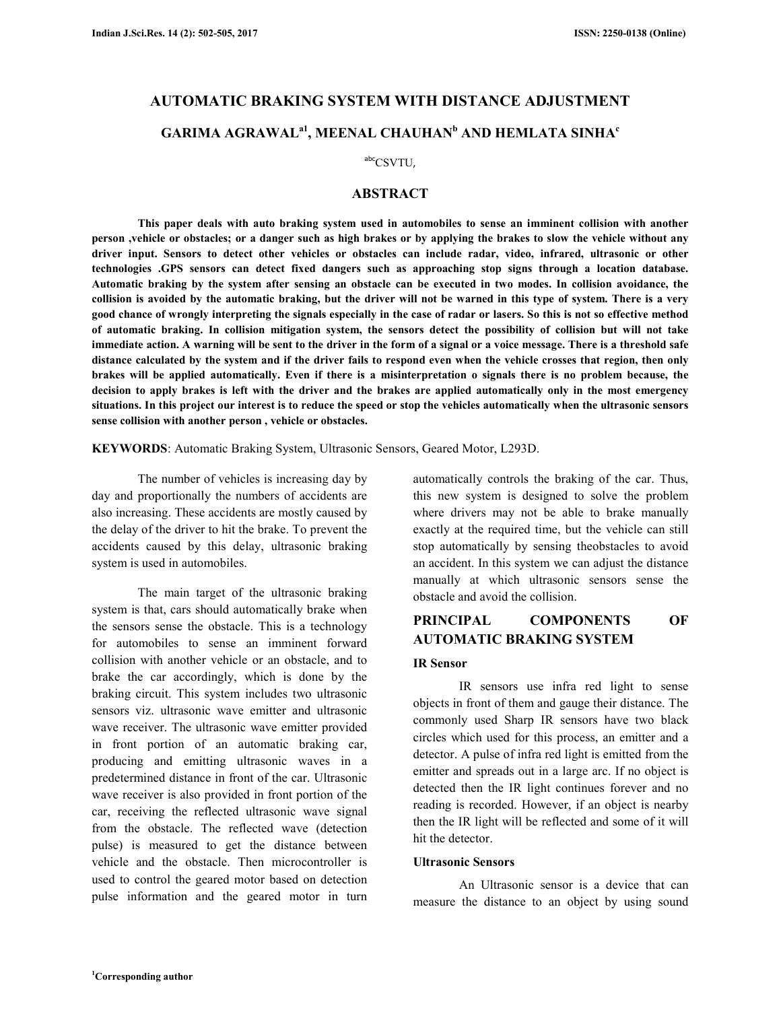# **AUTOMATIC BRAKING SYSTEM WITH DISTANCE ADJUSTMENT GARIMA AGRAWALa1, MEENAL CHAUHAN<sup>b</sup> AND HEMLATA SINHA<sup>c</sup>**

## $\mathrm{^{abc}CSVTU}$ ,

## **ABSTRACT**

 **This paper deals with auto braking system used in automobiles to sense an imminent collision with another person ,vehicle or obstacles; or a danger such as high brakes or by applying the brakes to slow the vehicle without any driver input. Sensors to detect other vehicles or obstacles can include radar, video, infrared, ultrasonic or other technologies .GPS sensors can detect fixed dangers such as approaching stop signs through a location database. Automatic braking by the system after sensing an obstacle can be executed in two modes. In collision avoidance, the collision is avoided by the automatic braking, but the driver will not be warned in this type of system. There is a very good chance of wrongly interpreting the signals especially in the case of radar or lasers. So this is not so effective method of automatic braking. In collision mitigation system, the sensors detect the possibility of collision but will not take immediate action. A warning will be sent to the driver in the form of a signal or a voice message. There is a threshold safe distance calculated by the system and if the driver fails to respond even when the vehicle crosses that region, then only brakes will be applied automatically. Even if there is a misinterpretation o signals there is no problem because, the decision to apply brakes is left with the driver and the brakes are applied automatically only in the most emergency situations. In this project our interest is to reduce the speed or stop the vehicles automatically when the ultrasonic sensors sense collision with another person , vehicle or obstacles.** 

**KEYWORDS**: Automatic Braking System, Ultrasonic Sensors, Geared Motor, L293D.

 The number of vehicles is increasing day by day and proportionally the numbers of accidents are also increasing. These accidents are mostly caused by the delay of the driver to hit the brake. To prevent the accidents caused by this delay, ultrasonic braking system is used in automobiles.

 The main target of the ultrasonic braking system is that, cars should automatically brake when the sensors sense the obstacle. This is a technology for automobiles to sense an imminent forward collision with another vehicle or an obstacle, and to brake the car accordingly, which is done by the braking circuit. This system includes two ultrasonic sensors viz. ultrasonic wave emitter and ultrasonic wave receiver. The ultrasonic wave emitter provided in front portion of an automatic braking car, producing and emitting ultrasonic waves in a predetermined distance in front of the car. Ultrasonic wave receiver is also provided in front portion of the car, receiving the reflected ultrasonic wave signal from the obstacle. The reflected wave (detection pulse) is measured to get the distance between vehicle and the obstacle. Then microcontroller is used to control the geared motor based on detection pulse information and the geared motor in turn

automatically controls the braking of the car. Thus, this new system is designed to solve the problem where drivers may not be able to brake manually exactly at the required time, but the vehicle can still stop automatically by sensing theobstacles to avoid an accident. In this system we can adjust the distance manually at which ultrasonic sensors sense the obstacle and avoid the collision.

## **PRINCIPAL COMPONENTS OF AUTOMATIC BRAKING SYSTEM**

#### **IR Sensor**

 IR sensors use infra red light to sense objects in front of them and gauge their distance. The commonly used Sharp IR sensors have two black circles which used for this process, an emitter and a detector. A pulse of infra red light is emitted from the emitter and spreads out in a large arc. If no object is detected then the IR light continues forever and no reading is recorded. However, if an object is nearby then the IR light will be reflected and some of it will hit the detector.

#### **Ultrasonic Sensors**

 An Ultrasonic sensor is a device that can measure the distance to an object by using sound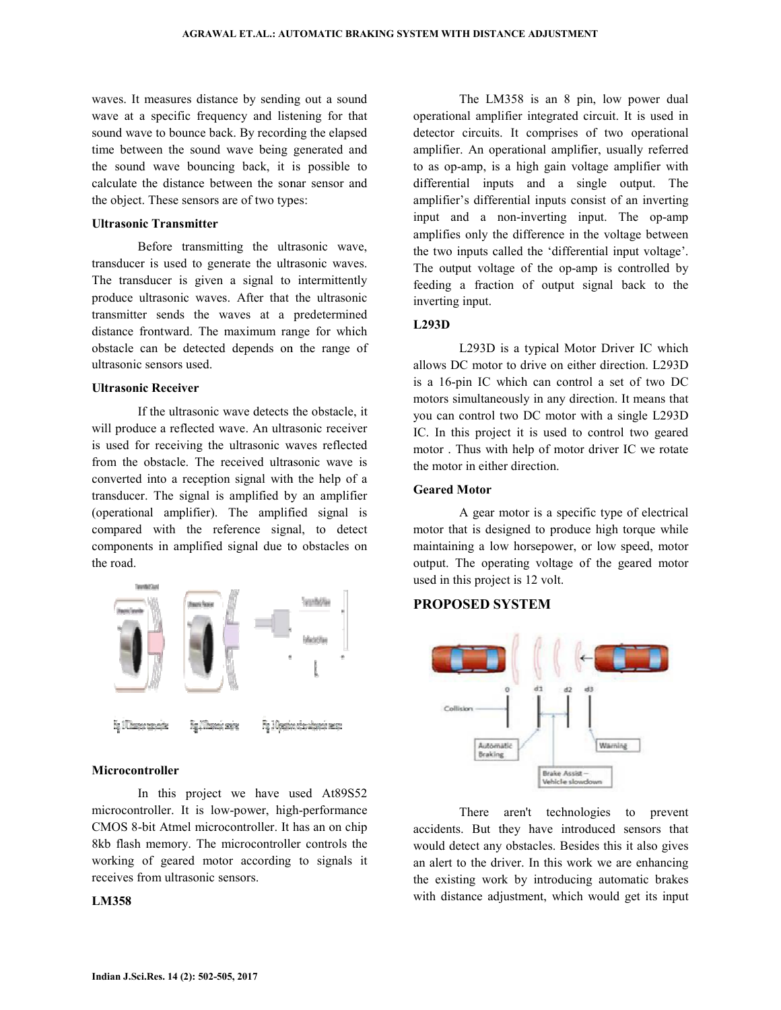waves. It measures distance by sending out a sound wave at a specific frequency and listening for that sound wave to bounce back. By recording the elapsed time between the sound wave being generated and the sound wave bouncing back, it is possible to calculate the distance between the sonar sensor and the object. These sensors are of two types: is. It measures distance by sending out a sound<br>
e at a specific frequency and listening for that<br>
d wave to bounce back. By recording the elapsed<br>
between the sound wave between sonar generated and<br>
sound wave bouncing ba

#### **Ultrasonic Transmitter**

Before transmitting the ultrasonic wave, transducer is used to generate the ultrasonic waves. The transducer is given a signal to intermittently produce ultrasonic waves. After that the ultrasonic transmitter sends the waves at a predetermined distance frontward. The maximum range for which obstacle can be detected depends on the range of ultrasonic sensors used. is ansducer is given a signal to intermittently<br>itter sends the waves at a predetermined<br>titer sends the waves at a predetermined<br>e frontward. The maximum range for which<br>le can be detected depends on the range of<br>nic sens

#### **Ultrasonic Receiver**

If the ultrasonic wave detects the obstacle, it will produce a reflected wave. An ultrasonic receiver is used for receiving the ultrasonic waves reflected from the obstacle. The received ultrasonic wave is from the obstacle. The received ultrasonic wave is converted into a reception signal with the help of a transducer. The signal is amplified by an amplifier (operational amplifier). The amplified signal is compared with the reference signal, to detect components in amplified signal due to obstacles on the road.



#### **Microcontroller**

In this project we have used At89S52 microcontroller. It is low-power, high-performance CMOS 8-bit Atmel microcontroller. It has an on chip 8kb flash memory. The microcontroller controls the working of geared motor according to signals it receives from ultrasonic sensors.

#### **LM358**

where it is a to some this is a small in the lattice is an 8 pin, low power dual the lattice spectra in the lattice spectra of the lattice spectra of the control of the spectra of the control of the control of the particle operational amplifier integrated circuit. It is used in detector circuits. It comprises of two operational detector circuits. It comprises of two operational amplifier. An operational amplifier, usually referred to as op-amp, is a high gain voltage amplifier with differential inputs and a single output. The amplifier's differential inputs consist of an inverting input and a non-inverting input. The op-amp amplifies only the difference in the voltage between the two inputs called the 'differential input voltage'. The output voltage of the op-amp is controlled by The output voltage of the op-amp is controlled by feeding a fraction of output signal back to the inverting input. The LM358 is an 8 pin, low power dual amp, is a high gain voltage amplifier with<br>al inputs and a single output. The<br>'s differential inputs consist of an inverting

### **L293D**

L293D is a typical Motor Driver IC which allows DC motor to drive on either direction. L293D is a 16-pin IC which can control a set of two DC L293D is a typical Motor Driver IC which<br>allows DC motor to drive on either direction. L293D<br>is a 16-pin IC which can control a set of two DC<br>motors simultaneously in any direction. It means that you can control two DC motor with a single L293D L293D IC. In this project it is used to control two geared motor . Thus with help of motor driver IC we rotate the motor in either direction.

#### **Geared Motor**

A gear motor is a specific type of electrical motor that is designed to produce high torque while maintaining a low horsepower, or low speed, motor output. The operating voltage of the geared motor used in this project is 12 volt.

## **PROPOSED SYSTEM**



There aren't technologies to prevent accidents. But they have introduced sensors that would detect any obstacles. Besides this it also gives an alert to the driver. In this work we are enhancing the existing work by introducing automatic brakes the existing work by introducing automatic brakes<br>with distance adjustment, which would get its input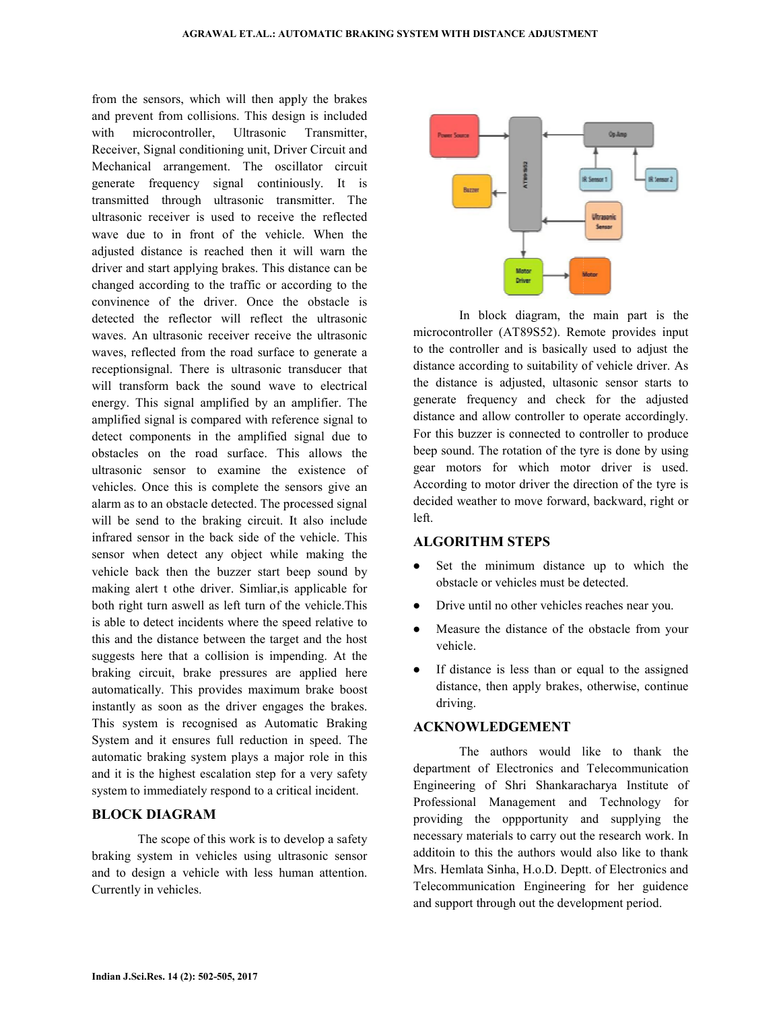from the sensors, which will then apply the brakes from the sensors, which will then apply the brakes and prevent from collisions. This design is included with microcontroller, Ultrasonic Transmitter, Receiver, Signal conditioning unit, Driver Circuit and Mechanical arrangement. The oscillator circuit generate frequency signal continiously. It is transmitted through ultrasonic transmitter. The ultrasonic receiver is used to receive the reflected wave due to in front of the vehicle. When the adjusted distance is reached then it will warn the driver and start applying brakes. This distance can be changed according to the traffic or according to the convinence of the driver. Once the obstacle is detected the reflector will reflect the ultrasonic waves. An ultrasonic receiver receive the ultrasonic convinence of the driver. Once the obstacle is detected the reflector will reflect the ultrasonic waves. An ultrasonic receiver receive the ultrasonic waves, reflected from the road surface to generate a receptionsignal. There is ultrasonic transducer that will transform back the sound wave to electrical energy. This signal amplified by an amplifier. The amplified signal is compared with reference signal to detect components in the amplified signal due to obstacles on the road surface. This allows the ultrasonic sensor to examine the existence of vehicles. Once this is complete the sensors give an alarm as to an obstacle detected. The processed signal will be send to the braking circuit. It also include infrared sensor in the back side of the vehicle. This sensor when detect any object while making the vehicle back then the buzzer start beep sound by making alert t othe driver. Simliar,is applicable for both right turn aswell as left turn of the vehicle.This is able to detect incidents where the speed relative to this and the distance between the target and the host suggests here that a collision is impending. At the braking circuit, brake pressures are applied here automatically. This provides maximum brake boost instantly as soon as the driver engages the brakes. This system is recognised as Automatic Braking System and it ensures full reduction in speed. The automatic braking system plays a major role in this and it is the highest escalation step for a very safety system to immediately respond to a critical incident. I arrangement. The oscillator circuit<br>
frequency signal continiously. It is<br>
through ultrasonic transmitter. The<br>
receiver is used to receive the reflected wave due to in front of the vehicle. When the adjusted distance is reached then it will warn the driver and start applying brakes. This distance can be nation back the sound wave to electrical<br>This signal amplified by an amplifier. The<br>d signal is compared with reference signal to<br>omponents in the amplified signal due to<br>s on the road surface. This allows the<br>c sensor to In the back then the buzzer start beep sound by the back then the buzzer start beep sound by the alert t othe driver. Similiar, is applicable for right turn as well as left turn of the vehicle. This braking circuit, brake pressures are applied here<br>automatically. This provides maximum brake boost<br>instantly as soon as the driver engages the brakes.<br>This system is recognised as Automatic Braking<br>System and it ensures fu text end the relations when the main part is the build are entired to interest in the main part is the secure of the main part is the controller (AT99532). Remote provides input<br>eves credicted riom the road surface to gene

#### **BLOCK DIAGRAM**

The scope of this work is to develop a safety braking system in vehicles using ultrasonic sensor and to design a vehicle with less human attention. Currently in vehicles.



microcontroller (AT89S52). Remote provides input In block diagram, the main part is the microcontroller (AT89S52). Remote provides input to the controller and is basically used to adjust the distance according to suitability of vehicle driver. As the distance is adjusted, ultasonic sensor starts to generate frequency and check for the adjusted generate frequency and check for the adjusted distance and allow controller to operate accordingly. For this buzzer is connected to controller to produce beep sound. The rotation of the tyre is done by using gear motors for which motor driver is used. gear motors for which motor driver is used.<br>According to motor driver the direction of the tyre is decided weather to move forward, backward, right or left.

#### **ALGORITHM STEPS**

- Set the minimum distance up to which the obstacle or vehicles must be detected. weather to move forward, backward, right<br>**RITHM STEPS**<br>the minimum distance up to which<br>acle or vehicles must be detected.<br>e until no other vehicles reaches near you.
- Drive until no other vehicles reaches near you.
- Measure the distance of the obstacle from your vehicle.
- If distance is less than or equal to the assigned distance, then apply brakes, otherwise, continue driving.

#### **ACKNOWLEDGEMENT**

 The authors would like to thank the department of Electronics and Telecommunication Engineering of Shri Shankaracharya Institute of Professional Management and Technology for providing the oppportunity and supplying the necessary materials to carry out the research work. In additoin to this the authors would also like to thank Mrs. Hemlata Sinha, H.o.D. Deptt. of Electronics and Telecommunication Engineering for her guidence Telecommunication Engineering for her guidend support through out the development period. distance of the obstacle from your<br>
the is less than or equal to the assigned<br>
then apply brakes, otherwise, continue<br> **EDGEMENT**<br>
authors would like to thank the<br>
Electronics and Telecommunication<br>
of Shri Shankaracharya